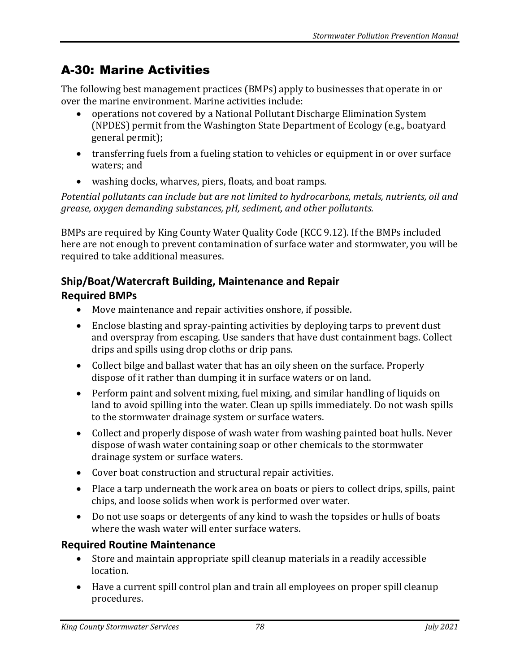# A-30: Marine Activities

The following best management practices (BMPs) apply to businesses that operate in or over the marine environment. Marine activities include:

- operations not covered by a National Pollutant Discharge Elimination System (NPDES) permit from the Washington State Department of Ecology (e.g., boatyard general permit);
- transferring fuels from a fueling station to vehicles or equipment in or over surface waters; and
- washing docks, wharves, piers, floats, and boat ramps.

*Potential pollutants can include but are not limited to hydrocarbons, metals, nutrients, oil and grease, oxygen demanding substances, pH, sediment, and other pollutants.*

BMPs are required by King County Water Quality Code (KCC 9.12). If the BMPs included here are not enough to prevent contamination of surface water and stormwater, you will be required to take additional measures.

# **Ship/Boat/Watercraft Building, Maintenance and Repair**

# **Required BMPs**

- Move maintenance and repair activities onshore, if possible.
- Enclose blasting and spray-painting activities by deploying tarps to prevent dust and overspray from escaping. Use sanders that have dust containment bags. Collect drips and spills using drop cloths or drip pans.
- Collect bilge and ballast water that has an oily sheen on the surface. Properly dispose of it rather than dumping it in surface waters or on land.
- Perform paint and solvent mixing, fuel mixing, and similar handling of liquids on land to avoid spilling into the water. Clean up spills immediately. Do not wash spills to the stormwater drainage system or surface waters.
- Collect and properly dispose of wash water from washing painted boat hulls. Never dispose of wash water containing soap or other chemicals to the stormwater drainage system or surface waters.
- Cover boat construction and structural repair activities.
- Place a tarp underneath the work area on boats or piers to collect drips, spills, paint chips, and loose solids when work is performed over water.
- Do not use soaps or detergents of any kind to wash the topsides or hulls of boats where the wash water will enter surface waters.

# **Required Routine Maintenance**

- Store and maintain appropriate spill cleanup materials in a readily accessible location.
- Have a current spill control plan and train all employees on proper spill cleanup procedures.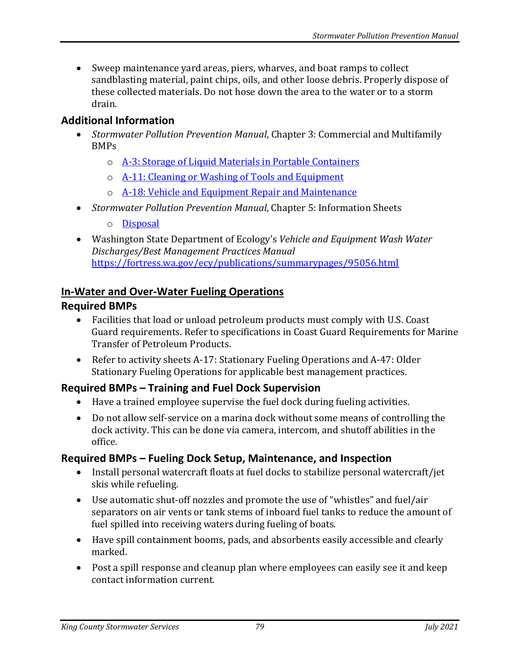• Sweep maintenance yard areas, piers, wharves, and boat ramps to collect sandblasting material, paint chips, oils, and other loose debris. Properly dispose of these collected materials. Do not hose down the area to the water or to a storm drain.

#### **Additional Information**

- *Stormwater Pollution Prevention Manual*, Chapter 3: Commercial and Multifamily BMPs
	- o [A-3: Storage of Liquid Materials in Portable Containers](https://your.kingcounty.gov/dnrp/library/water-and-land/stormwater/stormwater-pollution-prevention-manual/a03-jul21.pdf)
	- o [A-11: Cleaning or Washing of Tools and Equipment](https://your.kingcounty.gov/dnrp/library/water-and-land/stormwater/stormwater-pollution-prevention-manual/a11-jul21.pdf)
	- o [A-18: Vehicle and Equipment Repair and Maintenance](https://your.kingcounty.gov/dnrp/library/water-and-land/stormwater/stormwater-pollution-prevention-manual/a18-jul21.pdf)
- *Stormwater Pollution Prevention Manual*, Chapter 5: Information Sheets
	- o [Disposal](https://your.kingcounty.gov/dnrp/library/water-and-land/stormwater/stormwater-pollution-prevention-manual/disposal-jul21.pdf)
- Washington State Department of Ecology's *Vehicle and Equipment Wash Water Discharges/Best Management Practices Manual* <https://fortress.wa.gov/ecy/publications/summarypages/95056.html>

#### **In-Water and Over-Water Fueling Operations**

#### **Required BMPs**

- Facilities that load or unload petroleum products must comply with U.S. Coast Guard requirements. Refer to specifications in Coast Guard Requirements for Marine Transfer of Petroleum Products.
- Refer to activity sheets A-17: Stationary Fueling Operations and A-47: Older Stationary Fueling Operations for applicable best management practices.

#### **Required BMPs – Training and Fuel Dock Supervision**

- Have a trained employee supervise the fuel dock during fueling activities.
- Do not allow self-service on a marina dock without some means of controlling the dock activity. This can be done via camera, intercom, and shutoff abilities in the office.

#### **Required BMPs – Fueling Dock Setup, Maintenance, and Inspection**

- Install personal watercraft floats at fuel docks to stabilize personal watercraft/jet skis while refueling.
- Use automatic shut-off nozzles and promote the use of "whistles" and fuel/air separators on air vents or tank stems of inboard fuel tanks to reduce the amount of fuel spilled into receiving waters during fueling of boats.
- Have spill containment booms, pads, and absorbents easily accessible and clearly marked.
- Post a spill response and cleanup plan where employees can easily see it and keep contact information current.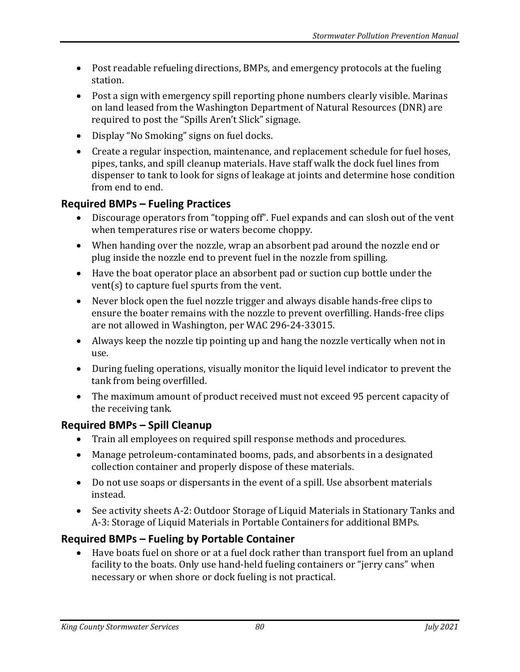- Post readable refueling directions, BMPs, and emergency protocols at the fueling station.
- Post a sign with emergency spill reporting phone numbers clearly visible. Marinas on land leased from the Washington Department of Natural Resources (DNR) are required to post the "Spills Aren't Slick" signage.
- Display "No Smoking" signs on fuel docks.
- Create a regular inspection, maintenance, and replacement schedule for fuel hoses, pipes, tanks, and spill cleanup materials. Have staff walk the dock fuel lines from dispenser to tank to look for signs of leakage at joints and determine hose condition from end to end.

# **Required BMPs – Fueling Practices**

- Discourage operators from "topping off". Fuel expands and can slosh out of the vent when temperatures rise or waters become choppy.
- When handing over the nozzle, wrap an absorbent pad around the nozzle end or plug inside the nozzle end to prevent fuel in the nozzle from spilling.
- Have the boat operator place an absorbent pad or suction cup bottle under the vent(s) to capture fuel spurts from the vent.
- Never block open the fuel nozzle trigger and always disable hands-free clips to ensure the boater remains with the nozzle to prevent overfilling. Hands-free clips are not allowed in Washington, per WAC 296-24-33015.
- Always keep the nozzle tip pointing up and hang the nozzle vertically when not in use.
- During fueling operations, visually monitor the liquid level indicator to prevent the tank from being overfilled.
- The maximum amount of product received must not exceed 95 percent capacity of the receiving tank.

# **Required BMPs – Spill Cleanup**

- Train all employees on required spill response methods and procedures.
- Manage petroleum-contaminated booms, pads, and absorbents in a designated collection container and properly dispose of these materials.
- Do not use soaps or dispersants in the event of a spill. Use absorbent materials instead.
- See activity sheets A-2: Outdoor Storage of Liquid Materials in Stationary Tanks and A-3: Storage of Liquid Materials in Portable Containers for additional BMPs.

# **Required BMPs – Fueling by Portable Container**

• Have boats fuel on shore or at a fuel dock rather than transport fuel from an upland facility to the boats. Only use hand-held fueling containers or "jerry cans" when necessary or when shore or dock fueling is not practical.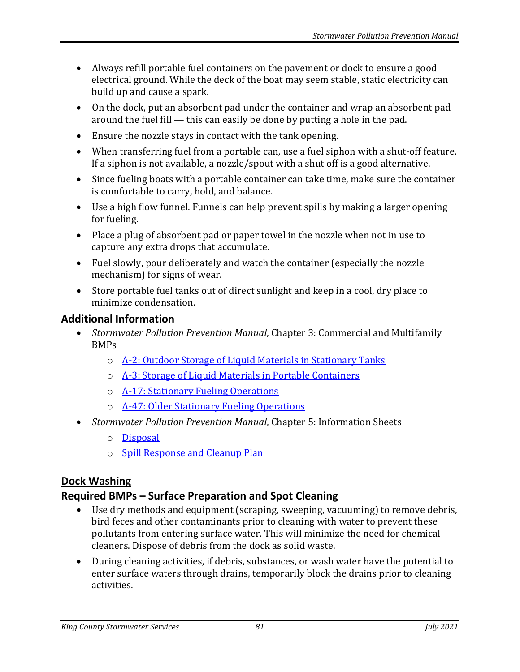- Always refill portable fuel containers on the pavement or dock to ensure a good electrical ground. While the deck of the boat may seem stable, static electricity can build up and cause a spark.
- On the dock, put an absorbent pad under the container and wrap an absorbent pad around the fuel fill — this can easily be done by putting a hole in the pad.
- Ensure the nozzle stays in contact with the tank opening.
- When transferring fuel from a portable can, use a fuel siphon with a shut-off feature. If a siphon is not available, a nozzle/spout with a shut off is a good alternative.
- Since fueling boats with a portable container can take time, make sure the container is comfortable to carry, hold, and balance.
- Use a high flow funnel. Funnels can help prevent spills by making a larger opening for fueling.
- Place a plug of absorbent pad or paper towel in the nozzle when not in use to capture any extra drops that accumulate.
- Fuel slowly, pour deliberately and watch the container (especially the nozzle mechanism) for signs of wear.
- Store portable fuel tanks out of direct sunlight and keep in a cool, dry place to minimize condensation.

# **Additional Information**

- *Stormwater Pollution Prevention Manual*, Chapter 3: Commercial and Multifamily BMPs
	- o [A-2: Outdoor Storage of Liquid Materials in Stationary Tanks](https://your.kingcounty.gov/dnrp/library/water-and-land/stormwater/stormwater-pollution-prevention-manual/a02-jul21.pdf)
	- o [A-3: Storage of Liquid Materials in Portable Containers](https://your.kingcounty.gov/dnrp/library/water-and-land/stormwater/stormwater-pollution-prevention-manual/a03-jul21.pdf)
	- o **[A-17: Stationary Fueling Operations](https://your.kingcounty.gov/dnrp/library/water-and-land/stormwater/stormwater-pollution-prevention-manual/a17-jul21.pdf)**
	- o [A-47: Older Stationary Fueling Operations](https://your.kingcounty.gov/dnrp/library/water-and-land/stormwater/stormwater-pollution-prevention-manual/a47-jul21.pdf)
- *Stormwater Pollution Prevention Manual*, Chapter 5: Information Sheets
	- o [Disposal](https://your.kingcounty.gov/dnrp/library/water-and-land/stormwater/stormwater-pollution-prevention-manual/disposal-jul21.pdf)
	- o [Spill Response and Cleanup Plan](https://your.kingcounty.gov/dnrp/library/water-and-land/stormwater/stormwater-pollution-prevention-manual/spill-response-and-cleanup-plan-jul21.pdf)

# **Dock Washing**

# **Required BMPs – Surface Preparation and Spot Cleaning**

- Use dry methods and equipment (scraping, sweeping, vacuuming) to remove debris, bird feces and other contaminants prior to cleaning with water to prevent these pollutants from entering surface water. This will minimize the need for chemical cleaners. Dispose of debris from the dock as solid waste.
- During cleaning activities, if debris, substances, or wash water have the potential to enter surface waters through drains, temporarily block the drains prior to cleaning activities.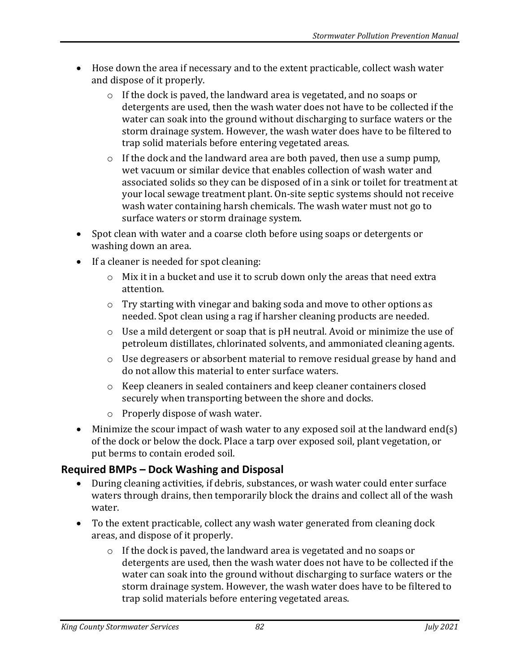- Hose down the area if necessary and to the extent practicable, collect wash water and dispose of it properly.
	- o If the dock is paved, the landward area is vegetated, and no soaps or detergents are used, then the wash water does not have to be collected if the water can soak into the ground without discharging to surface waters or the storm drainage system. However, the wash water does have to be filtered to trap solid materials before entering vegetated areas.
	- o If the dock and the landward area are both paved, then use a sump pump, wet vacuum or similar device that enables collection of wash water and associated solids so they can be disposed of in a sink or toilet for treatment at your local sewage treatment plant. On-site septic systems should not receive wash water containing harsh chemicals. The wash water must not go to surface waters or storm drainage system.
- Spot clean with water and a coarse cloth before using soaps or detergents or washing down an area.
- If a cleaner is needed for spot cleaning:
	- $\circ$  Mix it in a bucket and use it to scrub down only the areas that need extra attention.
	- o Try starting with vinegar and baking soda and move to other options as needed. Spot clean using a rag if harsher cleaning products are needed.
	- o Use a mild detergent or soap that is pH neutral. Avoid or minimize the use of petroleum distillates, chlorinated solvents, and ammoniated cleaning agents.
	- o Use degreasers or absorbent material to remove residual grease by hand and do not allow this material to enter surface waters.
	- o Keep cleaners in sealed containers and keep cleaner containers closed securely when transporting between the shore and docks.
	- o Properly dispose of wash water.
- Minimize the scour impact of wash water to any exposed soil at the landward end(s) of the dock or below the dock. Place a tarp over exposed soil, plant vegetation, or put berms to contain eroded soil.

# **Required BMPs – Dock Washing and Disposal**

- During cleaning activities, if debris, substances, or wash water could enter surface waters through drains, then temporarily block the drains and collect all of the wash water.
- To the extent practicable, collect any wash water generated from cleaning dock areas, and dispose of it properly.
	- o If the dock is paved, the landward area is vegetated and no soaps or detergents are used, then the wash water does not have to be collected if the water can soak into the ground without discharging to surface waters or the storm drainage system. However, the wash water does have to be filtered to trap solid materials before entering vegetated areas.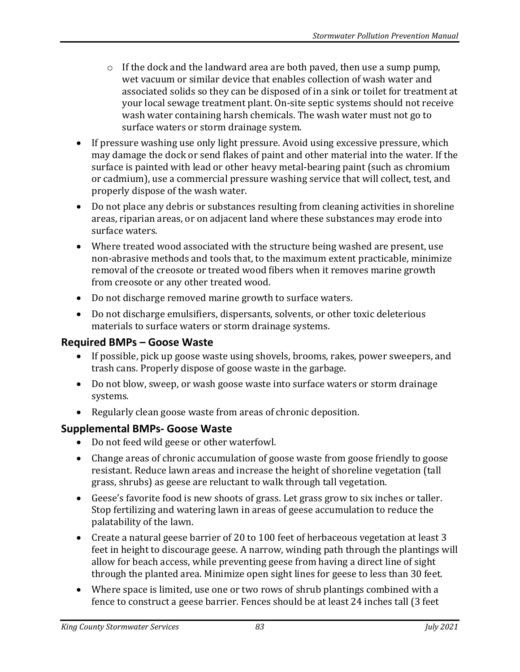- $\circ$  If the dock and the landward area are both paved, then use a sump pump, wet vacuum or similar device that enables collection of wash water and associated solids so they can be disposed of in a sink or toilet for treatment at your local sewage treatment plant. On-site septic systems should not receive wash water containing harsh chemicals. The wash water must not go to surface waters or storm drainage system.
- If pressure washing use only light pressure. Avoid using excessive pressure, which may damage the dock or send flakes of paint and other material into the water. If the surface is painted with lead or other heavy metal-bearing paint (such as chromium or cadmium), use a commercial pressure washing service that will collect, test, and properly dispose of the wash water.
- Do not place any debris or substances resulting from cleaning activities in shoreline areas, riparian areas, or on adjacent land where these substances may erode into surface waters.
- Where treated wood associated with the structure being washed are present, use non-abrasive methods and tools that, to the maximum extent practicable, minimize removal of the creosote or treated wood fibers when it removes marine growth from creosote or any other treated wood.
- Do not discharge removed marine growth to surface waters.
- Do not discharge emulsifiers, dispersants, solvents, or other toxic deleterious materials to surface waters or storm drainage systems.

# **Required BMPs – Goose Waste**

- If possible, pick up goose waste using shovels, brooms, rakes, power sweepers, and trash cans. Properly dispose of goose waste in the garbage.
- Do not blow, sweep, or wash goose waste into surface waters or storm drainage systems.
- Regularly clean goose waste from areas of chronic deposition.

# **Supplemental BMPs- Goose Waste**

- Do not feed wild geese or other waterfowl.
- Change areas of chronic accumulation of goose waste from goose friendly to goose resistant. Reduce lawn areas and increase the height of shoreline vegetation (tall grass, shrubs) as geese are reluctant to walk through tall vegetation.
- Geese's favorite food is new shoots of grass. Let grass grow to six inches or taller. Stop fertilizing and watering lawn in areas of geese accumulation to reduce the palatability of the lawn.
- Create a natural geese barrier of 20 to 100 feet of herbaceous vegetation at least 3 feet in height to discourage geese. A narrow, winding path through the plantings will allow for beach access, while preventing geese from having a direct line of sight through the planted area. Minimize open sight lines for geese to less than 30 feet.
- Where space is limited, use one or two rows of shrub plantings combined with a fence to construct a geese barrier. Fences should be at least 24 inches tall (3 feet